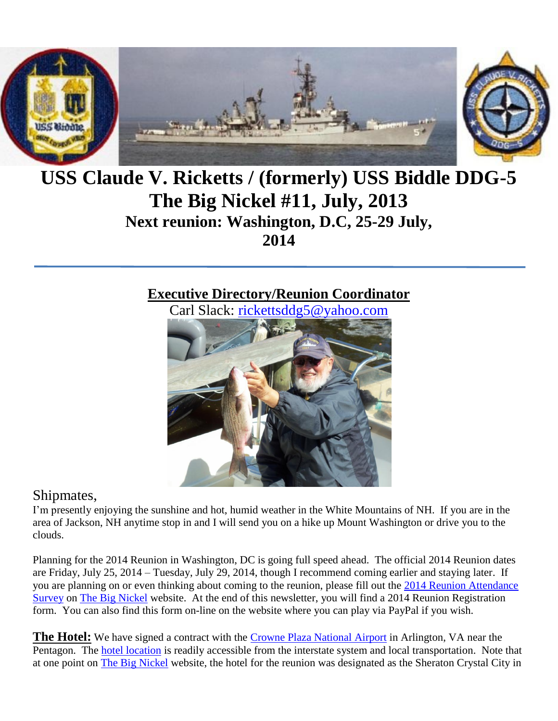

# **USS Claude V. Ricketts / (formerly) USS Biddle DDG-5 The Big Nickel #11, July, 2013 Next reunion: Washington, D.C, 25-29 July, 2014**

## **Executive Directory/Reunion Coordinator**



## Shipmates,

I'm presently enjoying the sunshine and hot, humid weather in the White Mountains of NH. If you are in the area of Jackson, NH anytime stop in and I will send you on a hike up Mount Washington or drive you to the clouds.

Planning for the 2014 Reunion in Washington, DC is going full speed ahead. The official 2014 Reunion dates are Friday, July 25, 2014 – Tuesday, July 29, 2014, though I recommend coming earlier and staying later. If you are planning on or even thinking about coming to the reunion, please fill out the [2014 Reunion Attendance](http://thebignickel.org/2014Reunion.html)  [Survey](http://thebignickel.org/2014Reunion.html) on [The Big Nickel](http://thebignickel.org/) website. At the end of this newsletter, you will find a 2014 Reunion Registration form. You can also find this form on-line on the website where you can play via PayPal if you wish.

**The Hotel:** We have signed a contract with the [Crowne Plaza National Airport](http://www.cpnationalairport.com/) in Arlington, VA near the Pentagon. The [hotel location](http://goo.gl/maps/Dgcqm) is readily accessible from the interstate system and local transportation. Note that at one point on [The Big Nickel](http://thebignickel.org/) website, the hotel for the reunion was designated as the Sheraton Crystal City in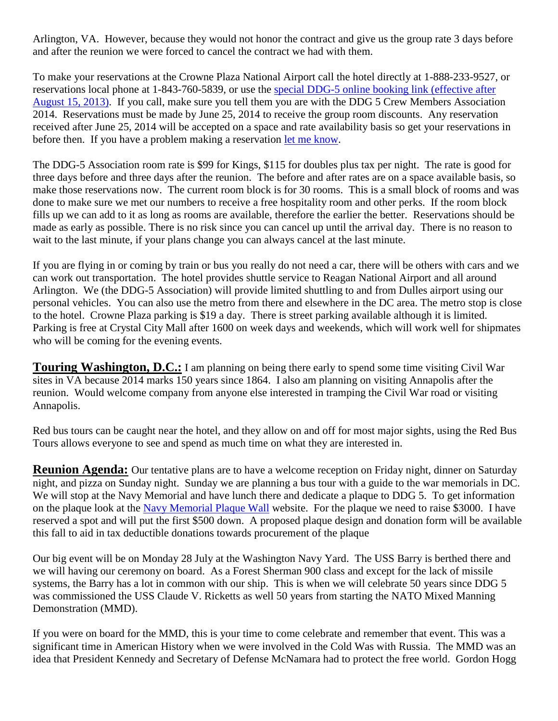Arlington, VA. However, because they would not honor the contract and give us the group rate 3 days before and after the reunion we were forced to cancel the contract we had with them.

To make your reservations at the Crowne Plaza National Airport call the hotel directly at 1-888-233-9527, or reservations local phone at 1-843-760-5839, or use the [special DDG-5 online booking link \(effective after](http://www.ihg.com/redirect?path=hd&brandCode=6c&localeCode=en®ionCode=1&hotelCode=WASNA&_PMID=99801505&GPC=DDG&blpu=true)  [August 15, 2013\).](http://www.ihg.com/redirect?path=hd&brandCode=6c&localeCode=en®ionCode=1&hotelCode=WASNA&_PMID=99801505&GPC=DDG&blpu=true) If you call, make sure you tell them you are with the DDG 5 Crew Members Association 2014. Reservations must be made by June 25, 2014 to receive the group room discounts. Any reservation received after June 25, 2014 will be accepted on a space and rate availability basis so get your reservations in before then. If you have a problem making a reservation [let me know.](mailto:Claude%20Ricketts%20%3crickettsddg5@yahoo.com%3e?subject=2014%20reunion%20room%20reservation%20issue)

The DDG-5 Association room rate is \$99 for Kings, \$115 for doubles plus tax per night. The rate is good for three days before and three days after the reunion. The before and after rates are on a space available basis, so make those reservations now. The current room block is for 30 rooms. This is a small block of rooms and was done to make sure we met our numbers to receive a free hospitality room and other perks. If the room block fills up we can add to it as long as rooms are available, therefore the earlier the better. Reservations should be made as early as possible. There is no risk since you can cancel up until the arrival day. There is no reason to wait to the last minute, if your plans change you can always cancel at the last minute.

If you are flying in or coming by train or bus you really do not need a car, there will be others with cars and we can work out transportation. The hotel provides shuttle service to Reagan National Airport and all around Arlington. We (the DDG-5 Association) will provide limited shuttling to and from Dulles airport using our personal vehicles. You can also use the metro from there and elsewhere in the DC area. The metro stop is close to the hotel. Crowne Plaza parking is \$19 a day. There is street parking available although it is limited. Parking is free at Crystal City Mall after 1600 on week days and weekends, which will work well for shipmates who will be coming for the evening events.

**Touring Washington, D.C.:** I am planning on being there early to spend some time visiting Civil War sites in VA because 2014 marks 150 years since 1864. I also am planning on visiting Annapolis after the reunion. Would welcome company from anyone else interested in tramping the Civil War road or visiting Annapolis.

Red bus tours can be caught near the hotel, and they allow on and off for most major sights, using the Red Bus Tours allows everyone to see and spend as much time on what they are interested in.

**Reunion Agenda:** Our tentative plans are to have a welcome reception on Friday night, dinner on Saturday night, and pizza on Sunday night. Sunday we are planning a bus tour with a guide to the war memorials in DC. We will stop at the Navy Memorial and have lunch there and dedicate a plaque to DDG 5. To get information on the plaque look at the [Navy Memorial Plaque Wall](http://www.navymemorial.org/NavyLog/PlaqueWall/tabid/406/Default.aspx) website. For the plaque we need to raise \$3000. I have reserved a spot and will put the first \$500 down. A proposed plaque design and donation form will be available this fall to aid in tax deductible donations towards procurement of the plaque

Our big event will be on Monday 28 July at the Washington Navy Yard. The USS Barry is berthed there and we will having our ceremony on board. As a Forest Sherman 900 class and except for the lack of missile systems, the Barry has a lot in common with our ship. This is when we will celebrate 50 years since DDG 5 was commissioned the USS Claude V. Ricketts as well 50 years from starting the NATO Mixed Manning Demonstration (MMD).

If you were on board for the MMD, this is your time to come celebrate and remember that event. This was a significant time in American History when we were involved in the Cold Was with Russia. The MMD was an idea that President Kennedy and Secretary of Defense McNamara had to protect the free world. Gordon Hogg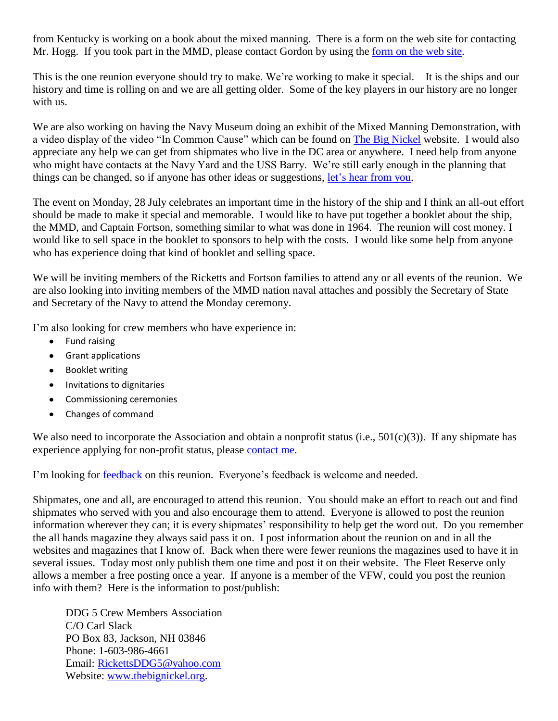from Kentucky is working on a book about the mixed manning. There is a form on the web site for contacting Mr. Hogg. If you took part in the MMD, please contact Gordon by using the [form on the web site.](http://thebignickel.org/MMDCrewAnnouncement.html)

This is the one reunion everyone should try to make. We're working to make it special. It is the ships and our history and time is rolling on and we are all getting older. Some of the key players in our history are no longer with us.

We are also working on having the Navy Museum doing an exhibit of the Mixed Manning Demonstration, with a video display of the video "In Common Cause" which can be found on [The Big Nickel](http://thebignickel.org/) website. I would also appreciate any help we can get from shipmates who live in the DC area or anywhere. I need help from anyone who might have contacts at the Navy Yard and the USS Barry. We're still early enough in the planning that things can be changed, so if anyone has other ideas or suggestions, let's [hear from you.](mailto:rickettsddg5@yahoo.com?subject=2014%20Reunion%20ideas)

The event on Monday, 28 July celebrates an important time in the history of the ship and I think an all-out effort should be made to make it special and memorable. I would like to have put together a booklet about the ship, the MMD, and Captain Fortson, something similar to what was done in 1964. The reunion will cost money. I would like to sell space in the booklet to sponsors to help with the costs. I would like some help from anyone who has experience doing that kind of booklet and selling space.

We will be inviting members of the Ricketts and Fortson families to attend any or all events of the reunion. We are also looking into inviting members of the MMD nation naval attaches and possibly the Secretary of State and Secretary of the Navy to attend the Monday ceremony.

I'm also looking for crew members who have experience in:

- Fund raising
- Grant applications
- Booklet writing  $\bullet$
- Invitations to dignitaries
- Commissioning ceremonies
- Changes of command  $\bullet$

We also need to incorporate the Association and obtain a nonprofit status (i.e.,  $501(c)(3)$ ). If any shipmate has experience applying for non-profit status, please [contact me.](mailto:rickettsddg5@yahoo.com?subject=Non-profit%20status%20response)

I'm looking for **feedback** on this reunion. Everyone's [feedback](mailto:rickettsddg5@yahoo.com?subject=2014%20Reunion%20Feedback) is welcome and needed.

Shipmates, one and all, are encouraged to attend this reunion. You should make an effort to reach out and find shipmates who served with you and also encourage them to attend. Everyone is allowed to post the reunion information wherever they can; it is every shipmates' responsibility to help get the word out. Do you remember the all hands magazine they always said pass it on. I post information about the reunion on and in all the websites and magazines that I know of. Back when there were fewer reunions the magazines used to have it in several issues. Today most only publish them one time and post it on their website. The Fleet Reserve only allows a member a free posting once a year. If anyone is a member of the VFW, could you post the reunion info with them? Here is the information to post/publish:

DDG 5 Crew Members Association C/O Carl Slack PO Box 83, Jackson, NH 03846 Phone: 1-603-986-4661 Email: [RickettsDDG5@yahoo.com](mailto:RickettsDDG5@yahoo.com) Website: [www.thebignickel.org.](http://www.thebignickel.org/)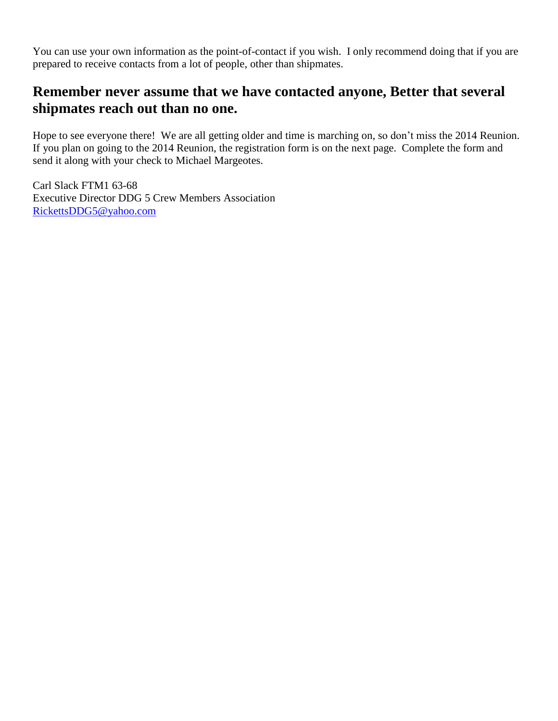You can use your own information as the point-of-contact if you wish. I only recommend doing that if you are prepared to receive contacts from a lot of people, other than shipmates.

# **Remember never assume that we have contacted anyone, Better that several shipmates reach out than no one.**

Hope to see everyone there! We are all getting older and time is marching on, so don't miss the 2014 Reunion. If you plan on going to the 2014 Reunion, the registration form is on the next page. Complete the form and send it along with your check to Michael Margeotes.

Carl Slack FTM1 63-68 Executive Director DDG 5 Crew Members Association [RickettsDDG5@yahoo.com](mailto:RickettsDDG5@yahoo.com)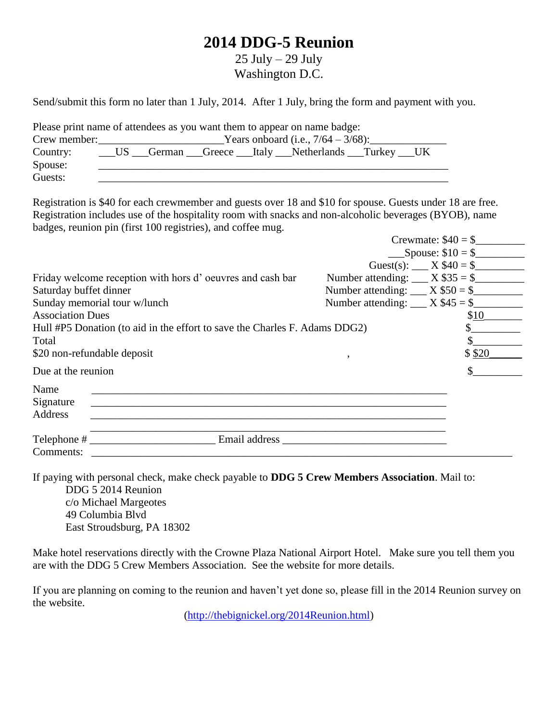# **2014 DDG-5 Reunion**

 $25$  July  $- 29$  July Washington D.C.

Send/submit this form no later than 1 July, 2014. After 1 July, bring the form and payment with you.

| Please print name of attendees as you want them to appear on name badge: |                                                                   |  |  |  |  |  |  |  |  |
|--------------------------------------------------------------------------|-------------------------------------------------------------------|--|--|--|--|--|--|--|--|
|                                                                          | Years onboard (i.e., $7/64 - 3/68$ ):<br>Crew member:             |  |  |  |  |  |  |  |  |
| Country:<br>Spouse:                                                      | ___US ___German ___Greece ___Italy ___Netherlands ___Turkey ___UK |  |  |  |  |  |  |  |  |
| Guests:                                                                  |                                                                   |  |  |  |  |  |  |  |  |

Registration is \$40 for each crewmember and guests over 18 and \$10 for spouse. Guests under 18 are free. Registration includes use of the hospitality room with snacks and non-alcoholic beverages (BYOB), name badges, reunion pin (first 100 registries), and coffee mug.

|                                                                            | Crewmate: $$40 = $$                    |                                    |  |  |
|----------------------------------------------------------------------------|----------------------------------------|------------------------------------|--|--|
|                                                                            |                                        | Spouse: $$10 = $$                  |  |  |
|                                                                            |                                        | Guest(s): $X \$40 =$ $\frac{1}{2}$ |  |  |
| Friday welcome reception with hors d'oeuvres and cash bar                  | Number attending: $X$ \$35 = \$        |                                    |  |  |
| Saturday buffet dinner                                                     | Number attending: $X$ \$50 = \$        |                                    |  |  |
| Sunday memorial tour w/lunch                                               | Number attending: $\_\_\_$ X $$45 = $$ |                                    |  |  |
| <b>Association Dues</b>                                                    |                                        | \$10                               |  |  |
| Hull #P5 Donation (to aid in the effort to save the Charles F. Adams DDG2) |                                        |                                    |  |  |
| Total                                                                      |                                        |                                    |  |  |
| \$20 non-refundable deposit                                                |                                        | \$\$20                             |  |  |
| Due at the reunion                                                         |                                        |                                    |  |  |
| Name                                                                       |                                        |                                    |  |  |
| Signature                                                                  |                                        |                                    |  |  |
| Address                                                                    |                                        |                                    |  |  |
| Email address                                                              |                                        |                                    |  |  |
| Comments:                                                                  |                                        |                                    |  |  |

If paying with personal check, make check payable to **DDG 5 Crew Members Association**. Mail to:

DDG 5 2014 Reunion c/o Michael Margeotes 49 Columbia Blvd East Stroudsburg, PA 18302

Make hotel reservations directly with the Crowne Plaza National Airport Hotel. Make sure you tell them you are with the DDG 5 Crew Members Association. See the website for more details.

If you are planning on coming to the reunion and haven't yet done so, please fill in the 2014 Reunion survey on the website.

[\(http://thebignickel.org/2014Reunion.html\)](http://thebignickel.org/2014Reunion.html)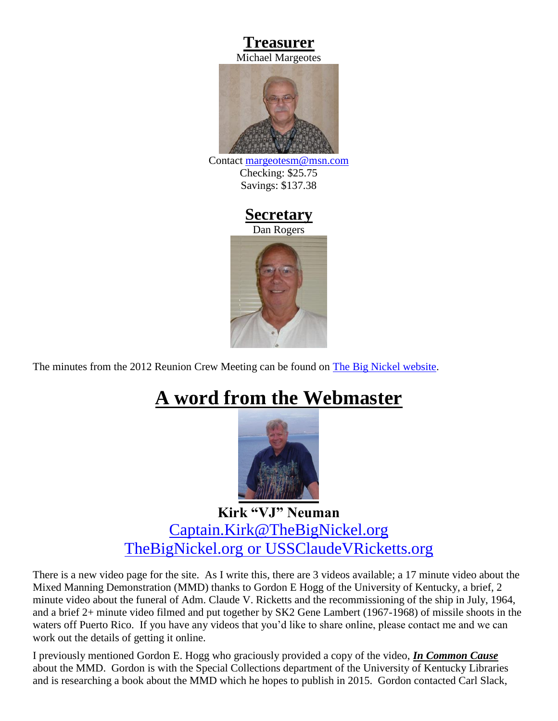# **Treasurer**



Contact [margeotesm@msn.com](mailto:margeotesm@msn.com) Checking: \$25.75 Savings: \$137.38

# **Secretary**

Dan Rogers



The minutes from the 2012 Reunion Crew Meeting can be found on [The Big Nickel website.](http://thebignickel.org/TheReunions/2012/CrewMeeting/Minutes/DDG-5_2012_Reunion_Busniess_Meetiing_Minutes.pdf)

# **A word from the Webmaster**



**Kirk "VJ" Neuman** [Captain.Kirk@TheBigNickel.org](mailto:Captain.Kirk@TheBigNickel.org) [TheBigNickel.org](http://thebignickel.org/) or [USSClaudeVRicketts.org](http://ussclaudevricketts.org/)

There is a new video page for the site. As I write this, there are 3 videos available; a 17 minute video about the Mixed Manning Demonstration (MMD) thanks to Gordon E Hogg of the University of Kentucky, a brief, 2 minute video about the funeral of Adm. Claude V. Ricketts and the recommissioning of the ship in July, 1964, and a brief 2+ minute video filmed and put together by SK2 Gene Lambert (1967-1968) of missile shoots in the waters off Puerto Rico. If you have any videos that you'd like to share online, please contact me and we can work out the details of getting it online.

I previously mentioned Gordon E. Hogg who graciously provided a copy of the video, *In Common Cause* about the MMD. Gordon is with the Special Collections department of the University of Kentucky Libraries and is researching a book about the MMD which he hopes to publish in 2015. Gordon contacted Carl Slack,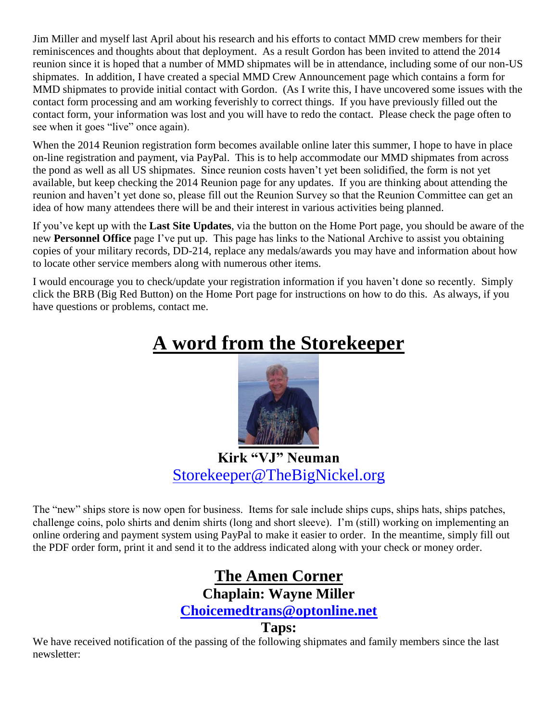Jim Miller and myself last April about his research and his efforts to contact MMD crew members for their reminiscences and thoughts about that deployment. As a result Gordon has been invited to attend the 2014 reunion since it is hoped that a number of MMD shipmates will be in attendance, including some of our non-US shipmates. In addition, I have created a special MMD Crew Announcement page which contains a form for MMD shipmates to provide initial contact with Gordon. (As I write this, I have uncovered some issues with the contact form processing and am working feverishly to correct things. If you have previously filled out the contact form, your information was lost and you will have to redo the contact. Please check the page often to see when it goes "live" once again).

When the 2014 Reunion registration form becomes available online later this summer, I hope to have in place on-line registration and payment, via PayPal. This is to help accommodate our MMD shipmates from across the pond as well as all US shipmates. Since reunion costs haven't yet been solidified, the form is not yet available, but keep checking the 2014 Reunion page for any updates. If you are thinking about attending the reunion and haven't yet done so, please fill out the Reunion Survey so that the Reunion Committee can get an idea of how many attendees there will be and their interest in various activities being planned.

If you've kept up with the **Last Site Updates**, via the button on the Home Port page, you should be aware of the new **Personnel Office** page I've put up. This page has links to the National Archive to assist you obtaining copies of your military records, DD-214, replace any medals/awards you may have and information about how to locate other service members along with numerous other items.

I would encourage you to check/update your registration information if you haven't done so recently. Simply click the BRB (Big Red Button) on the Home Port page for instructions on how to do this. As always, if you have questions or problems, contact me.

# **A word from the Storekeeper**



# **Kirk "VJ" Neuman** [Storekeeper@TheBigNickel.org](mailto:Storekeeper@TheBigNickel.org)

The "new" ships store is now open for business. Items for sale include ships cups, ships hats, ships patches, challenge coins, polo shirts and denim shirts (long and short sleeve). I'm (still) working on implementing an online ordering and payment system using PayPal to make it easier to order. In the meantime, simply fill out the PDF order form, print it and send it to the address indicated along with your check or money order.

# **The Amen Corner**

**Chaplain: Wayne Miller**

**[Choicemedtrans@optonline.net](mailto:Choicemedtrans@optonline.net)**

## **Taps:**

We have received notification of the passing of the following shipmates and family members since the last newsletter: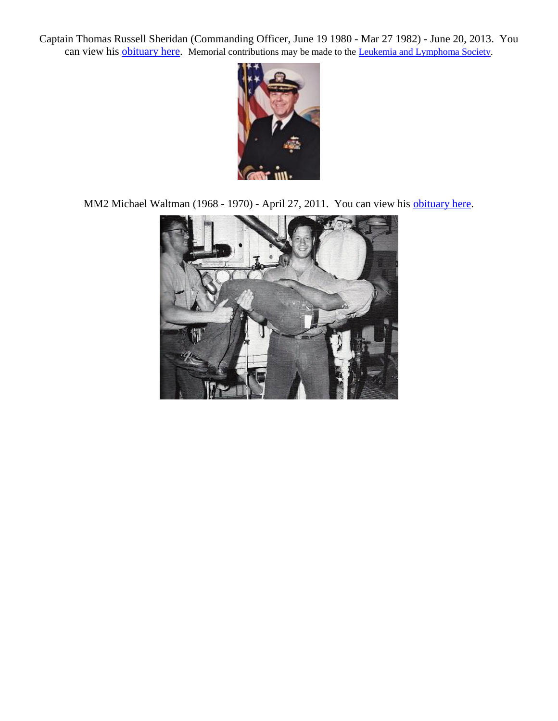Captain Thomas Russell Sheridan (Commanding Officer, June 19 1980 - Mar 27 1982) - June 20, 2013. You can view his **obituary here**. Memorial contributions may be made to the **Leukemia and Lymphoma Society**.



MM2 Michael Waltman (1968 - 1970) - April 27, 2011. You can view his *obituary here*.

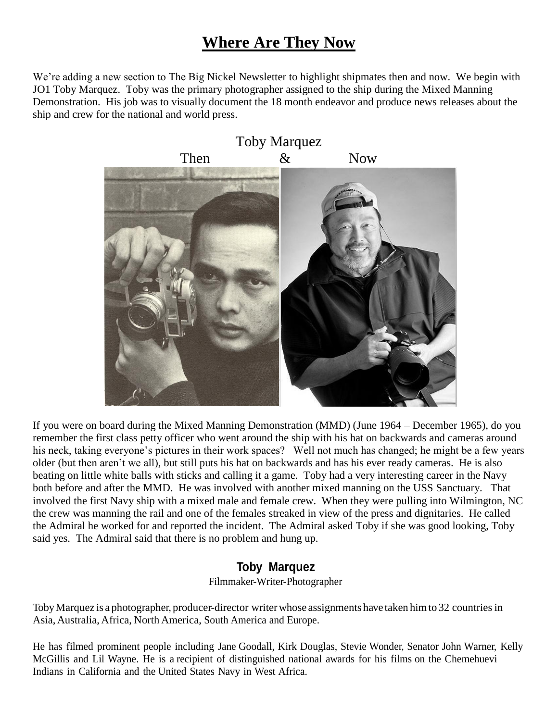# **Where Are They Now**

We're adding a new section to The Big Nickel Newsletter to highlight shipmates then and now. We begin with JO1 Toby Marquez. Toby was the primary photographer assigned to the ship during the Mixed Manning Demonstration. His job was to visually document the 18 month endeavor and produce news releases about the ship and crew for the national and world press.



If you were on board during the Mixed Manning Demonstration (MMD) (June 1964 – December 1965), do you remember the first class petty officer who went around the ship with his hat on backwards and cameras around his neck, taking everyone's pictures in their work spaces? Well not much has changed; he might be a few years older (but then aren't we all), but still puts his hat on backwards and has his ever ready cameras. He is also beating on little white balls with sticks and calling it a game. Toby had a very interesting career in the Navy both before and after the MMD. He was involved with another mixed manning on the USS Sanctuary. That involved the first Navy ship with a mixed male and female crew. When they were pulling into Wilmington, NC the crew was manning the rail and one of the females streaked in view of the press and dignitaries. He called the Admiral he worked for and reported the incident. The Admiral asked Toby if she was good looking, Toby said yes. The Admiral said that there is no problem and hung up.

## **Toby Marquez**

Filmmaker-Writer-Photographer

Toby Marquez is a photographer, producer-director writer whose assignments have taken him to 32 countries in Asia, Australia, Africa, North America, South America and Europe.

He has filmed prominent people including Jane Goodall, Kirk Douglas, Stevie Wonder, Senator John Warner, Kelly McGillis and Lil Wayne. He is a recipient of distinguished national awards for his films on the Chemehuevi Indians in California and the United States Navy in West Africa.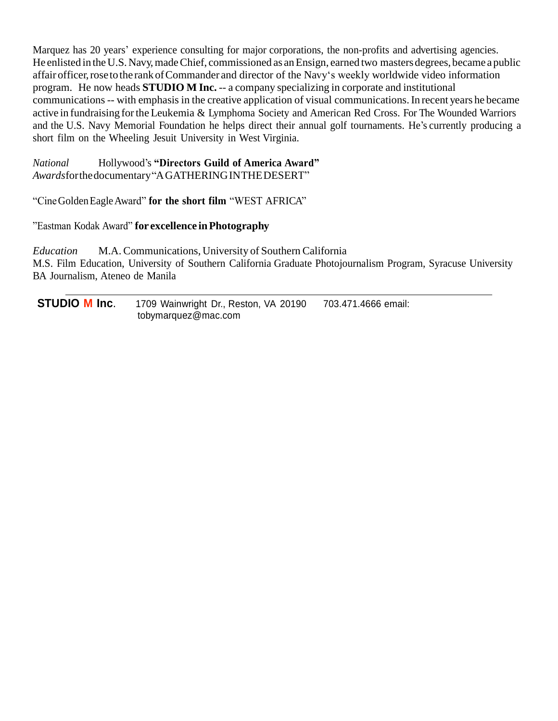Marquez has 20 years' experience consulting for major corporations, the non-profits and advertising agencies. He enlisted in the U.S. Navy, made Chief, commissioned as an Ensign, earned two masters degrees, became a public affair officer, rose to the rank of Commander and director of the Navy's weekly worldwide video information program. He now heads **STUDIO M Inc.** -- a company specializing in corporate and institutional communications -- with emphasis in the creative application of visual communications. In recent years he became active in fundraising forthe Leukemia & Lymphoma Society and American Red Cross. For The Wounded Warriors and the U.S. Navy Memorial Foundation he helps direct their annual golf tournaments. He's currently producing a short film on the Wheeling Jesuit University in West Virginia.

*National* Hollywood's **"Directors Guild of America Award"** *Awards*forthedocumentary"AGATHERINGINTHEDESERT"

"CineGoldenEagleAward" **for the short film** "WEST AFRICA"

### "Eastman Kodak Award" **for excellence inPhotography**

*Education* M.A. Communications, University of Southern California M.S. Film Education, University of Southern California Graduate Photojournalism Program, Syracuse University BA Journalism, Ateneo de Manila

**STUDIO M Inc**. 1709 Wainwright Dr., Reston, VA 20190 703.471.4666 [email:](mailto:tobymarquez@mac.com)  [tobymarquez@mac.com](mailto:tobymarquez@mac.com)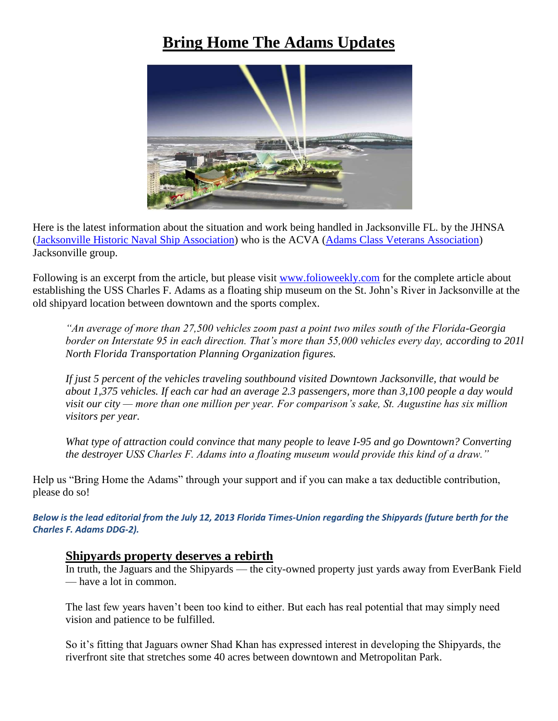# **Bring Home The Adams Updates**



Here is the latest information about the situation and work being handled in Jacksonville FL. by the JHNSA [\(Jacksonville Historic Naval Ship Association\)](http://www.adamsclassmuseum.org/) who is the ACVA [\(Adams Class Veterans Association\)](http://www.adamsclassddgvets.org/) Jacksonville group.

Following is an excerpt from the article, but please visit [www.folioweekly.com](http://www.folioweekly.com/Shipshape,5880) for the complete article about establishing the USS Charles F. Adams as a floating ship museum on the St. John's River in Jacksonville at the old shipyard location between downtown and the sports complex.

*"An average of more than 27,500 vehicles zoom past a point two miles south of the Florida-Georgia border on Interstate 95 in each direction. That's more than 55,000 vehicles every day, according to 201l North Florida Transportation Planning Organization figures.*

*If just 5 percent of the vehicles traveling southbound visited Downtown Jacksonville, that would be about 1,375 vehicles. If each car had an average 2.3 passengers, more than 3,100 people a day would visit our city — more than one million per year. For comparison's sake, St. Augustine has six million visitors per year.*

*What type of attraction could convince that many people to leave I-95 and go Downtown? Converting the destroyer USS Charles F. Adams into a floating museum would provide this kind of a draw."*

Help us "Bring Home the Adams" through your support and if you can make a tax deductible contribution, please do so!

*Below is the lead editorial from the July 12, 2013 Florida Times-Union regarding the Shipyards (future berth for the Charles F. Adams DDG-2).*

## **Shipyards property deserves a rebirth**

In truth, the Jaguars and the Shipyards — the city-owned property just yards away from EverBank Field — have a lot in common.

The last few years haven't been too kind to either. But each has real potential that may simply need vision and patience to be fulfilled.

So it's fitting that Jaguars owner Shad Khan has expressed interest in developing the Shipyards, the riverfront site that stretches some 40 acres between downtown and Metropolitan Park.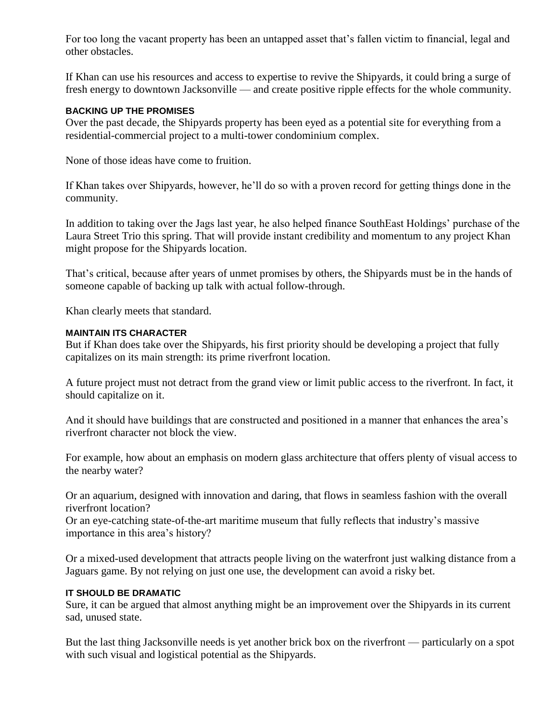For too long the vacant property has been an untapped asset that's fallen victim to financial, legal and other obstacles.

If Khan can use his resources and access to expertise to revive the Shipyards, it could bring a surge of fresh energy to downtown Jacksonville — and create positive ripple effects for the whole community.

#### **BACKING UP THE PROMISES**

Over the past decade, the Shipyards property has been eyed as a potential site for everything from a residential-commercial project to a multi-tower condominium complex.

None of those ideas have come to fruition.

If Khan takes over Shipyards, however, he'll do so with a proven record for getting things done in the community.

In addition to taking over the Jags last year, he also helped finance SouthEast Holdings' purchase of the Laura Street Trio this spring. That will provide instant credibility and momentum to any project Khan might propose for the Shipyards location.

That's critical, because after years of unmet promises by others, the Shipyards must be in the hands of someone capable of backing up talk with actual follow-through.

Khan clearly meets that standard.

#### **MAINTAIN ITS CHARACTER**

But if Khan does take over the Shipyards, his first priority should be developing a project that fully capitalizes on its main strength: its prime riverfront location.

A future project must not detract from the grand view or limit public access to the riverfront. In fact, it should capitalize on it.

And it should have buildings that are constructed and positioned in a manner that enhances the area's riverfront character not block the view.

For example, how about an emphasis on modern glass architecture that offers plenty of visual access to the nearby water?

Or an aquarium, designed with innovation and daring, that flows in seamless fashion with the overall riverfront location?

Or an eye-catching state-of-the-art maritime museum that fully reflects that industry's massive importance in this area's history?

Or a mixed-used development that attracts people living on the waterfront just walking distance from a Jaguars game. By not relying on just one use, the development can avoid a risky bet.

### **IT SHOULD BE DRAMATIC**

Sure, it can be argued that almost anything might be an improvement over the Shipyards in its current sad, unused state.

But the last thing Jacksonville needs is yet another brick box on the riverfront — particularly on a spot with such visual and logistical potential as the Shipyards.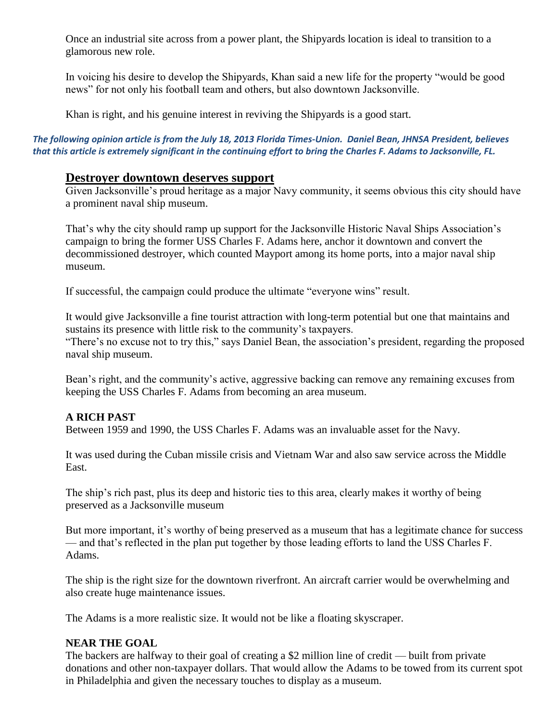Once an industrial site across from a power plant, the Shipyards location is ideal to transition to a glamorous new role.

In voicing his desire to develop the Shipyards, Khan said a new life for the property "would be good news" for not only his football team and others, but also downtown Jacksonville.

Khan is right, and his genuine interest in reviving the Shipyards is a good start.

#### *The following opinion article is from the July 18, 2013 Florida Times-Union. Daniel Bean, JHNSA President, believes that this article is extremely significant in the continuing effort to bring the Charles F. Adams to Jacksonville, FL.*

### **Destroyer downtown deserves support**

Given Jacksonville's proud heritage as a major Navy community, it seems obvious this city should have a prominent naval ship museum.

That's why the city should ramp up support for the Jacksonville Historic Naval Ships Association's campaign to bring the former USS Charles F. Adams here, anchor it downtown and convert the decommissioned destroyer, which counted Mayport among its home ports, into a major naval ship museum.

If successful, the campaign could produce the ultimate "everyone wins" result.

It would give Jacksonville a fine tourist attraction with long-term potential but one that maintains and sustains its presence with little risk to the community's taxpayers. "There's no excuse not to try this," says Daniel Bean, the association's president, regarding the proposed naval ship museum.

Bean's right, and the community's active, aggressive backing can remove any remaining excuses from keeping the USS Charles F. Adams from becoming an area museum.

#### **A RICH PAST**

Between 1959 and 1990, the USS Charles F. Adams was an invaluable asset for the Navy.

It was used during the Cuban missile crisis and Vietnam War and also saw service across the Middle East.

The ship's rich past, plus its deep and historic ties to this area, clearly makes it worthy of being preserved as a Jacksonville museum

But more important, it's worthy of being preserved as a museum that has a legitimate chance for success — and that's reflected in the plan put together by those leading efforts to land the USS Charles F. Adams.

The ship is the right size for the downtown riverfront. An aircraft carrier would be overwhelming and also create huge maintenance issues.

The Adams is a more realistic size. It would not be like a floating skyscraper.

#### **NEAR THE GOAL**

The backers are halfway to their goal of creating a \$2 million line of credit — built from private donations and other non-taxpayer dollars. That would allow the Adams to be towed from its current spot in Philadelphia and given the necessary touches to display as a museum.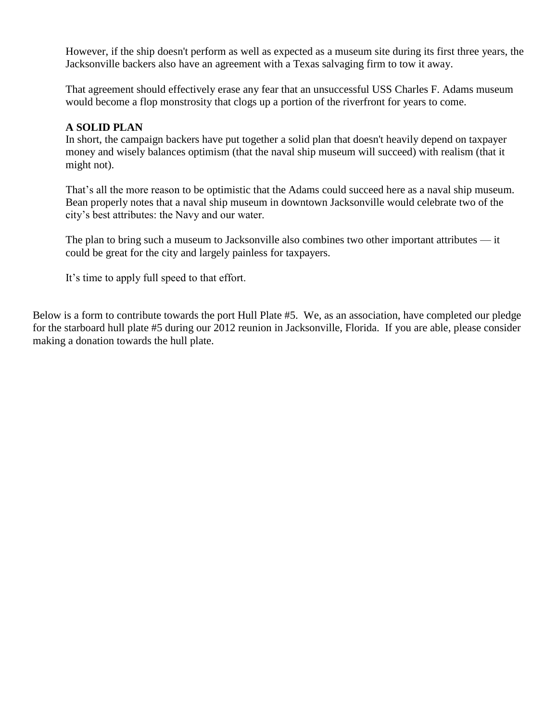However, if the ship doesn't perform as well as expected as a museum site during its first three years, the Jacksonville backers also have an agreement with a Texas salvaging firm to tow it away.

That agreement should effectively erase any fear that an unsuccessful USS Charles F. Adams museum would become a flop monstrosity that clogs up a portion of the riverfront for years to come.

### **A SOLID PLAN**

In short, the campaign backers have put together a solid plan that doesn't heavily depend on taxpayer money and wisely balances optimism (that the naval ship museum will succeed) with realism (that it might not).

That's all the more reason to be optimistic that the Adams could succeed here as a naval ship museum. Bean properly notes that a naval ship museum in downtown Jacksonville would celebrate two of the city's best attributes: the Navy and our water.

The plan to bring such a museum to Jacksonville also combines two other important attributes — it could be great for the city and largely painless for taxpayers.

It's time to apply full speed to that effort.

Below is a form to contribute towards the port Hull Plate #5. We, as an association, have completed our pledge for the starboard hull plate #5 during our 2012 reunion in Jacksonville, Florida. If you are able, please consider making a donation towards the hull plate.